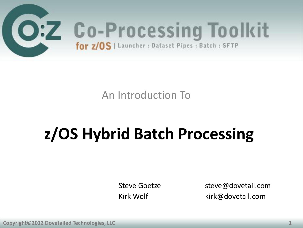

An Introduction To

### **z/OS Hybrid Batch Processing**

Steve Goetze steve@dovetail.com<br>Kirk Wolf state strik@dovetail.com kirk@dovetail.com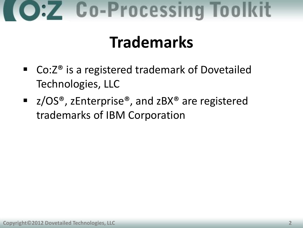### **Trademarks**

- Co:Z<sup>®</sup> is a registered trademark of Dovetailed Technologies, LLC
- z/OS®, zEnterprise®, and zBX® are registered trademarks of IBM Corporation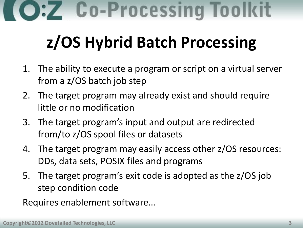### **z/OS Hybrid Batch Processing**

- 1. The ability to execute a program or script on a virtual server from a z/OS batch job step
- 2. The target program may already exist and should require little or no modification
- 3. The target program's input and output are redirected from/to z/OS spool files or datasets
- 4. The target program may easily access other z/OS resources: DDs, data sets, POSIX files and programs
- 5. The target program's exit code is adopted as the z/OS job step condition code

Requires enablement software…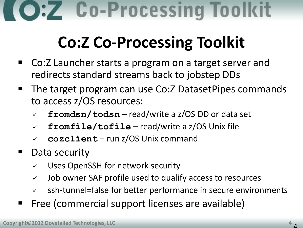### **Co:Z Co-Processing Toolkit**

- Co:Z Launcher starts a program on a target server and redirects standard streams back to jobstep DDs
- The target program can use Co:Z DatasetPipes commands to access z/OS resources:
	- **fromdsn/todsn** read/write a z/OS DD or data set
	- **fromfile/tofile** read/write a z/OS Unix file
	- **cozclient** run z/OS Unix command
- Data security
	- Uses OpenSSH for network security
	- $\checkmark$  Job owner SAF profile used to qualify access to resources
	- ssh-tunnel=false for better performance in secure environments
- Free (commercial support licenses are available)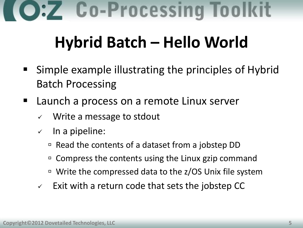### **Hybrid Batch – Hello World**

- Simple example illustrating the principles of Hybrid Batch Processing
- Launch a process on a remote Linux server
	- $\checkmark$  Write a message to stdout
	- $\checkmark$  In a pipeline:
		- $\overline{P}$  Read the contents of a dataset from a jobstep DD
		- <sup>D</sup> Compress the contents using the Linux gzip command
		- □ Write the compressed data to the z/OS Unix file system
	- $\vee$  Exit with a return code that sets the jobstep CC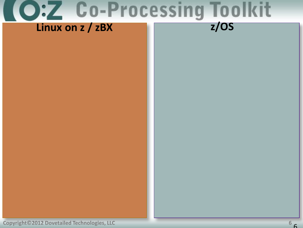

**Copyright©2012 Dovetailed Technologies, LLC 6**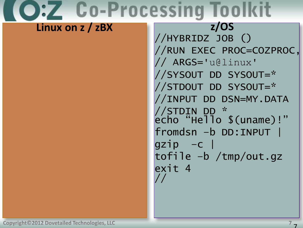#### Linux on z / zBX

 $\overline{z}/OS$ //HYBRIDZ JOB () //RUN EXEC PROC=COZPROC, // ARGS='u@linux' //SYSOUT DD SYSOUT=\* //STDOUT DD SYSOUT=\* //INPUT DD DSN=MY.DATA //STDIN DD \*<br>echo "Hello \$(uname)!" fromdsn -b DD:INPUT |  $gzip -c$ tofile -b /tmp/out.gz exit 4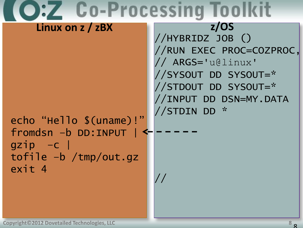| Z UO-Processi                                                                                                        |                                                                                                                                                                    |
|----------------------------------------------------------------------------------------------------------------------|--------------------------------------------------------------------------------------------------------------------------------------------------------------------|
| Linux on $z / zBX$<br>echo "Hello \$(uname)!"<br>fromdsn -b DD:INPUT<br>$gzip -c$<br>tofile -b /tmp/out.gz<br>exit 4 | Z/OS<br>//HYBRIDZ JOB()<br>//RUN EXEC PROC=COZPROC,<br>// ARGS='u@linux'<br>//SYSOUT DD SYSOUT=*<br>//STDOUT DD SYSOUT=*<br>//INPUT DD DSN=MY.DATA<br>//STDIN DD * |
|                                                                                                                      |                                                                                                                                                                    |

ш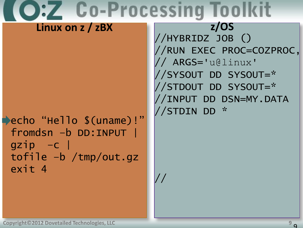$\frac{\sqrt{2}}{2}$ 

#### Linux on z / zBX

echo "Hello \$(uname)!" fromdsn -b DD:INPUT |  $qzip -c$  $tofile -b /tmp/out.gz)$ exit 4

 $Z/OS$ //HYBRIDZ JOB () //RUN EXEC PROC=COZPROC, // ARGS='u@linux' //SYSOUT DD SYSOUT=\* //STDOUT DD SYSOUT=\* //INPUT DD DSN=MY.DATA //STDIN DD \*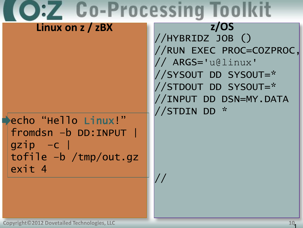$\frac{\sqrt{2}}{2}$ 

#### Linux on z / zBX

echo"Hello Linux!" fromdsn -b DD:INPUT  $qzip -c$  $tofile -b /tmp/out.gz)$ exit 4

 $\overline{z}/OS$ //HYBRIDZ JOB () //RUN EXEC PROC=COZPROC, // ARGS='u@linux' //SYSOUT DD SYSOUT=\* //STDOUT DD SYSOUT=\* //INPUT DD DSN=MY.DATA //STDIN DD \*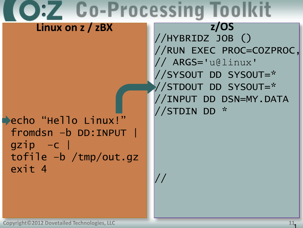**Co-Processing Toolkit**  $Z/OS$ Linux on z / zBX //HYBRIDZ JOB () //RUN EXEC PROC=COZPROC, // ARGS='u@linux' //SYSOUT DD SYSOUT=\* //STDOUT DD SYSOUT=\* //INPUT DD DSN=MY.DATA //STDIN DD \* echo "Hello Linux!" fromdsn -b DD:INPUT |  $qzip -c$  $tofile -b /tmp/out.gz)$ exit 4  $\frac{1}{2}$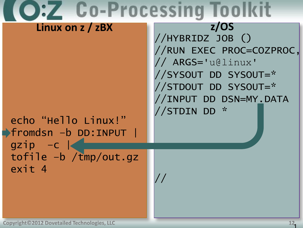$\frac{1}{2}$ 

#### Linux on z / zBX

echo "Hello Linux!" ▶fromdsn -b DD:INPUT |  $gzip -c$ tofile -b /tmp/out.gz exit 4

 $Z/OS$ //HYBRIDZ JOB () //RUN EXEC PROC=COZPROC, // ARGS='u@linux' //SYSOUT DD SYSOUT=\* //STDOUT DD SYSOUT=\* //INPUT DD DSN=MY.DATA //STDIN DD \*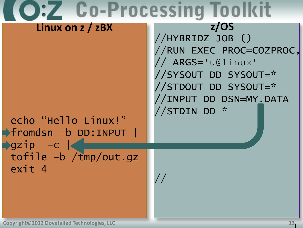$\frac{1}{2}$ 

#### Linux on z / zBX

echo "Hello Linux!" ▶fromdsn -b DD:INPUT |  $\sqrt{gzip}$  -c  $\vert$ tofile -b /tmp/out.gz exit 4

 $Z/OS$ //HYBRIDZ JOB () //RUN EXEC PROC=COZPROC, // ARGS='u@linux' //SYSOUT DD SYSOUT=\* //STDOUT DD SYSOUT=\* //INPUT DD DSN=MY.DATA //STDIN DD \*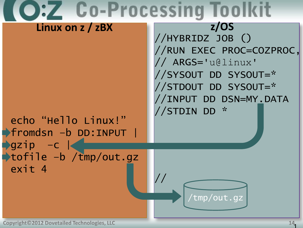### **C:Z Co-Processing Toolkit Linux on z / zBX z/OS**//HYBRIDZ JOB () //RUN EXEC PROC=COZPROC, // ARGS='u@linux' //SYSOUT DD SYSOUT=\* //STDOUT DD SYSOUT=\* //INPUT DD DSN=MY.DATA //STDIN DD \* echo "Hello Linux!" fromdsn –b DD:INPUT |  $\rightarrow$ gzip –c  $\mid$ tofile –b /tmp/out.gz exit 4 // /tmp/out.gz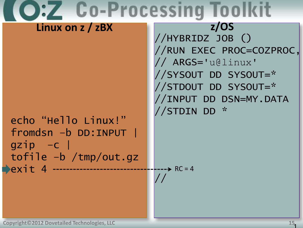### **Co-Processing Toolkit Linux on z / zBX z/OS**

### echo "Hello Linux!" fromdsn –b DD:INPUT |  $gzip -c$ tofile –b /tmp/out.gz **Pexit 4 -----------------**

//HYBRIDZ JOB () //RUN EXEC PROC=COZPROC, // ARGS='u@linux' //SYSOUT DD SYSOUT=\* //STDOUT DD SYSOUT=\* //INPUT DD DSN=MY.DATA //STDIN DD \*

//  $-$ ---- $\triangleright$  RC = 4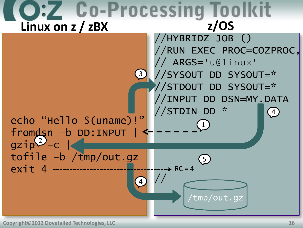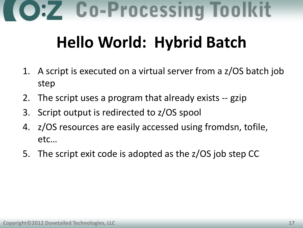### **Hello World: Hybrid Batch**

- 1. A script is executed on a virtual server from a z/OS batch job step
- 2. The script uses a program that already exists -- gzip
- 3. Script output is redirected to z/OS spool
- 4. z/OS resources are easily accessed using fromdsn, tofile, etc…
- 5. The script exit code is adopted as the z/OS job step CC